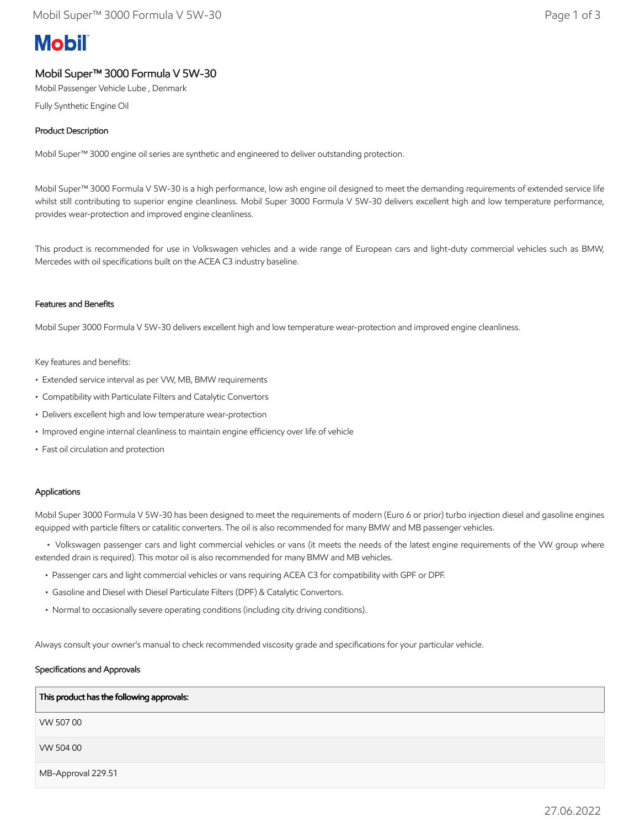# **Mobil**

# Mobil Super™ 3000 Formula V 5W-30

Mobil Passenger Vehicle Lube , Denmark

Fully Synthetic Engine Oil

# Product Description

Mobil Super™ 3000 engine oil series are synthetic and engineered to deliver outstanding protection.

Mobil Super™ 3000 Formula V 5W-30 is a high performance, low ash engine oil designed to meet the demanding requirements of extended service life whilst still contributing to superior engine cleanliness. Mobil Super 3000 Formula V 5W-30 delivers excellent high and low temperature performance, provides wear-protection and improved engine cleanliness.

This product is recommended for use in Volkswagen vehicles and a wide range of European cars and light-duty commercial vehicles such as BMW, Mercedes with oil specifications built on the ACEA C3 industry baseline.

# Features and Benefits

Mobil Super 3000 Formula V 5W-30 delivers excellent high and low temperature wear-protection and improved engine cleanliness.

#### Key features and benefits:

- Extended service interval as per VW, MB, BMW requirements
- Compatibility with Particulate Filters and Catalytic Convertors
- Delivers excellent high and low temperature wear-protection
- Improved engine internal cleanliness to maintain engine efficiency over life of vehicle
- Fast oil circulation and protection

# Applications

Mobil Super 3000 Formula V 5W-30 has been designed to meet the requirements of modern (Euro 6 or prior) turbo injection diesel and gasoline engines equipped with particle filters or catalitic converters. The oil is also recommended for many BMW and MB passenger vehicles.

 • Volkswagen passenger cars and light commercial vehicles or vans (it meets the needs of the latest engine requirements of the VW group where extended drain is required). This motor oil is also recommended for many BMW and MB vehicles.

- Passenger cars and light commercial vehicles or vans requiring ACEA C3 for compatibility with GPF or DPF.
- Gasoline and Diesel with Diesel Particulate Filters (DPF) & Catalytic Convertors.
- Normal to occasionally severe operating conditions (including city driving conditions).

Always consult your owner's manual to check recommended viscosity grade and specifications for your particular vehicle.

# Specifications and Approvals

| This product has the following approvals: |
|-------------------------------------------|
| VW 50700                                  |
| VW 504 00                                 |
| MB-Approval 229.51                        |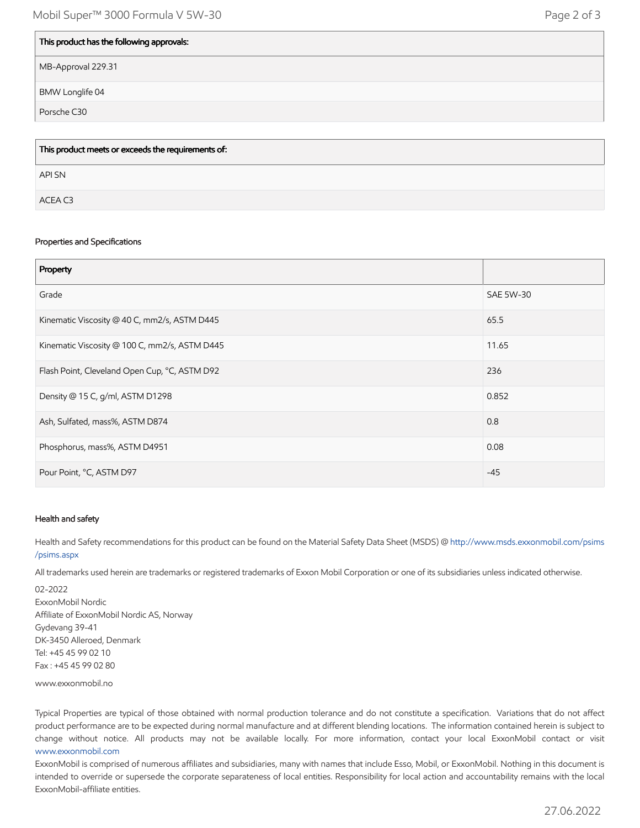| This product has the following approvals: |
|-------------------------------------------|
| MB-Approval 229.31                        |
| BMW Longlife 04                           |
| Porsche C30                               |

| This product meets or exceeds the requirements of: |
|----------------------------------------------------|
| API SN                                             |
| ACEA C3                                            |

#### Properties and Specifications

| Property                                      |           |
|-----------------------------------------------|-----------|
| Grade                                         | SAE 5W-30 |
| Kinematic Viscosity @ 40 C, mm2/s, ASTM D445  | 65.5      |
| Kinematic Viscosity @ 100 C, mm2/s, ASTM D445 | 11.65     |
| Flash Point, Cleveland Open Cup, °C, ASTM D92 | 236       |
| Density @ 15 C, g/ml, ASTM D1298              | 0.852     |
| Ash, Sulfated, mass%, ASTM D874               | 0.8       |
| Phosphorus, mass%, ASTM D4951                 | 0.08      |
| Pour Point, °C, ASTM D97                      | $-45$     |

# Health and safety

Health and Safety recommendations for this product can be found on the Material Safety Data Sheet (MSDS) @ [http://www.msds.exxonmobil.com/psims](http://www.msds.exxonmobil.com/psims/psims.aspx) /psims.aspx

All trademarks used herein are trademarks or registered trademarks of Exxon Mobil Corporation or one of its subsidiaries unless indicated otherwise.

02-2022 ExxonMobil Nordic Affiliate of ExxonMobil Nordic AS, Norway Gydevang 39-41 DK-3450 Alleroed, Denmark Tel: +45 45 99 02 10 Fax : +45 45 99 02 80

www.exxonmobil.no

Typical Properties are typical of those obtained with normal production tolerance and do not constitute a specification. Variations that do not affect product performance are to be expected during normal manufacture and at different blending locations. The information contained herein is subject to change without notice. All products may not be available locally. For more information, contact your local ExxonMobil contact or visit [www.exxonmobil.com](http://www.exxonmobil.com/)

ExxonMobil is comprised of numerous affiliates and subsidiaries, many with names that include Esso, Mobil, or ExxonMobil. Nothing in this document is intended to override or supersede the corporate separateness of local entities. Responsibility for local action and accountability remains with the local ExxonMobil-affiliate entities.